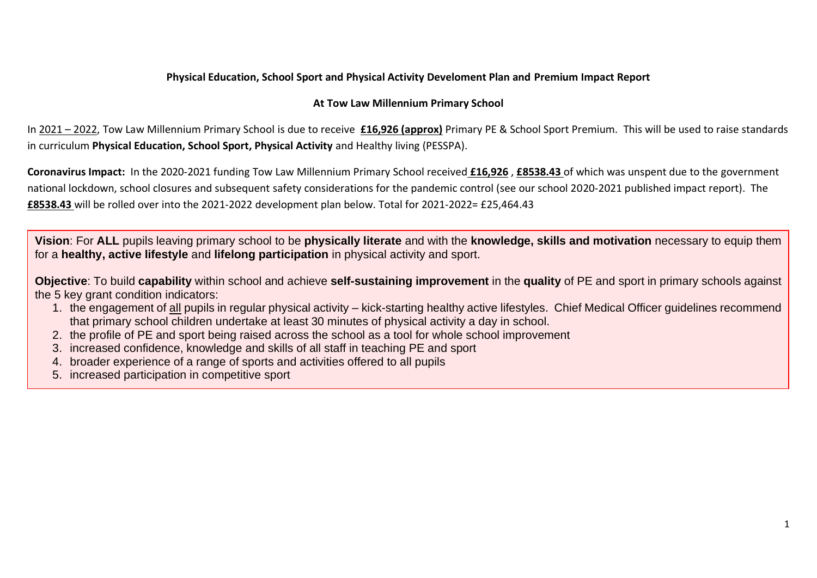## **Physical Education, School Sport and Physical Activity Develoment Plan and Premium Impact Report**

## **At Tow Law Millennium Primary School**

In 2021 – 2022, Tow Law Millennium Primary School is due to receive **£16,926 (approx)** Primary PE & School Sport Premium. This will be used to raise standards in curriculum **Physical Education, School Sport, Physical Activity** and Healthy living (PESSPA).

**Coronavirus Impact:** In the 2020-2021 funding Tow Law Millennium Primary School received **£16,926** , **£8538.43** of which was unspent due to the government national lockdown, school closures and subsequent safety considerations for the pandemic control (see our school 2020-2021 published impact report). The **£8538.43** will be rolled over into the 2021-2022 development plan below. Total for 2021-2022= £25,464.43

**Vision**: For **ALL** pupils leaving primary school to be **physically literate** and with the **knowledge, skills and motivation** necessary to equip them for a **healthy, active lifestyle** and **lifelong participation** in physical activity and sport.

**Objective**: To build **capability** within school and achieve **self-sustaining improvement** in the **quality** of PE and sport in primary schools against the 5 key grant condition indicators:

- 1. the engagement of all pupils in regular physical activity kick-starting healthy active lifestyles. Chief Medical Officer guidelines recommend that primary school children undertake at least 30 minutes of physical activity a day in school.
- 2. the profile of PE and sport being raised across the school as a tool for whole school improvement
- 3. increased confidence, knowledge and skills of all staff in teaching PE and sport
- 4. broader experience of a range of sports and activities offered to all pupils
- 5. increased participation in competitive sport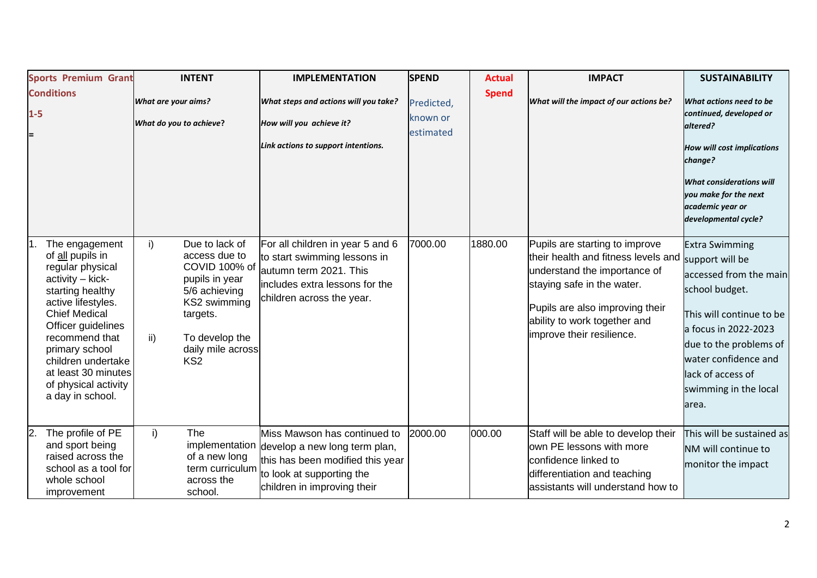|            | <b>Sports Premium Grant</b>                                                                                                                                                                                                                                                                     | <b>INTENT</b>                                                                                                                                                                          | <b>IMPLEMENTATION</b>                                                                                                                                         | <b>SPEND</b>                        | <b>Actual</b> | <b>IMPACT</b>                                                                                                                                                                                                                       | <b>SUSTAINABILITY</b>                                                                                                                                                                                                                             |
|------------|-------------------------------------------------------------------------------------------------------------------------------------------------------------------------------------------------------------------------------------------------------------------------------------------------|----------------------------------------------------------------------------------------------------------------------------------------------------------------------------------------|---------------------------------------------------------------------------------------------------------------------------------------------------------------|-------------------------------------|---------------|-------------------------------------------------------------------------------------------------------------------------------------------------------------------------------------------------------------------------------------|---------------------------------------------------------------------------------------------------------------------------------------------------------------------------------------------------------------------------------------------------|
| $1-5$<br>E | <b>Conditions</b>                                                                                                                                                                                                                                                                               | What are your aims?<br>What do you to achieve?                                                                                                                                         | What steps and actions will you take?<br>How will you achieve it?<br>Link actions to support intentions.                                                      | Predicted,<br>known or<br>estimated | <b>Spend</b>  | What will the impact of our actions be?                                                                                                                                                                                             | What actions need to be<br>continued, developed or<br>altered?<br><b>How will cost implications</b><br>change?<br><b>What considerations will</b><br>you make for the next<br>academic year or<br>developmental cycle?                            |
|            | The engagement<br>of all pupils in<br>regular physical<br>activity - kick-<br>starting healthy<br>active lifestyles.<br><b>Chief Medical</b><br>Officer guidelines<br>recommend that<br>primary school<br>children undertake<br>at least 30 minutes<br>of physical activity<br>a day in school. | i)<br>Due to lack of<br>access due to<br>COVID 100% of<br>pupils in year<br>5/6 achieving<br>KS2 swimming<br>targets.<br>To develop the<br>ii)<br>daily mile across<br>KS <sub>2</sub> | For all children in year 5 and 6<br>to start swimming lessons in<br>autumn term 2021. This<br>includes extra lessons for the<br>children across the year.     | 7000.00                             | 1880.00       | Pupils are starting to improve<br>their health and fitness levels and<br>understand the importance of<br>staying safe in the water.<br>Pupils are also improving their<br>ability to work together and<br>improve their resilience. | <b>Extra Swimming</b><br>support will be<br>accessed from the main<br>school budget.<br>This will continue to be<br>a focus in 2022-2023<br>due to the problems of<br>water confidence and<br>lack of access of<br>swimming in the local<br>area. |
| 12.        | The profile of PE<br>and sport being<br>raised across the<br>school as a tool for<br>whole school<br>improvement                                                                                                                                                                                | i)<br>The<br>implementation<br>of a new long<br>term curriculum<br>across the<br>school.                                                                                               | Miss Mawson has continued to<br>develop a new long term plan,<br>this has been modified this year<br>to look at supporting the<br>children in improving their | 2000.00                             | 000.00        | Staff will be able to develop their<br>lown PE lessons with more<br>confidence linked to<br>differentiation and teaching<br>assistants will understand how to                                                                       | This will be sustained as<br>NM will continue to<br>monitor the impact                                                                                                                                                                            |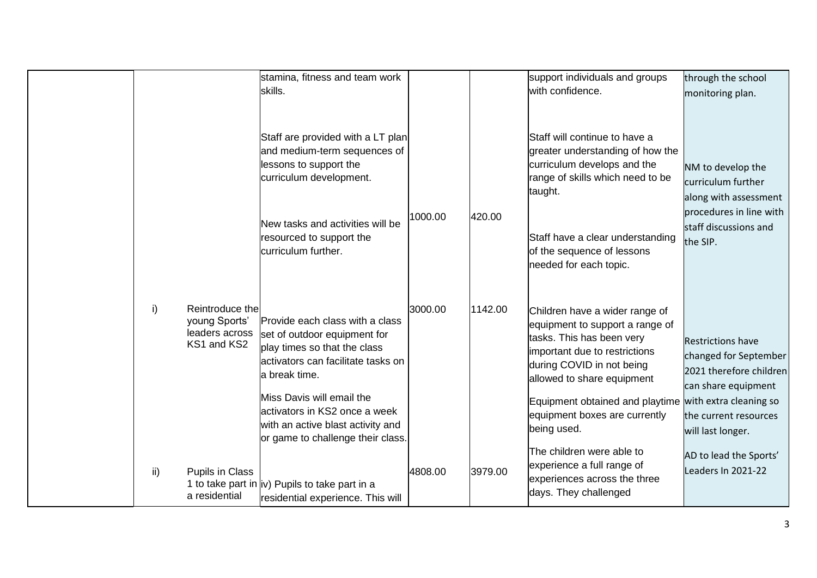|     |                                                                   | stamina, fitness and team work<br>skills.                                                                                                                                                                                                                                                      |         |         | support individuals and groups<br>with confidence.                                                                                                                                                                                                                                                   | through the school<br>monitoring plan.                                                                                                            |
|-----|-------------------------------------------------------------------|------------------------------------------------------------------------------------------------------------------------------------------------------------------------------------------------------------------------------------------------------------------------------------------------|---------|---------|------------------------------------------------------------------------------------------------------------------------------------------------------------------------------------------------------------------------------------------------------------------------------------------------------|---------------------------------------------------------------------------------------------------------------------------------------------------|
|     |                                                                   | Staff are provided with a LT plan<br>and medium-term sequences of<br>lessons to support the<br>curriculum development.<br>New tasks and activities will be<br>resourced to support the<br>curriculum further.                                                                                  | 1000.00 | 420.00  | Staff will continue to have a<br>greater understanding of how the<br>curriculum develops and the<br>range of skills which need to be<br>taught.<br>Staff have a clear understanding<br>of the sequence of lessons<br>needed for each topic.                                                          | NM to develop the<br>curriculum further<br>along with assessment<br>procedures in line with<br>staff discussions and<br>the SIP.                  |
| i)  | Reintroduce the<br>young Sports'<br>leaders across<br>KS1 and KS2 | Provide each class with a class<br>set of outdoor equipment for<br>play times so that the class<br>activators can facilitate tasks on<br>a break time.<br>Miss Davis will email the<br>activators in KS2 once a week<br>with an active blast activity and<br>or game to challenge their class. | 3000.00 | 1142.00 | Children have a wider range of<br>equipment to support a range of<br>tasks. This has been very<br>important due to restrictions<br>during COVID in not being<br>allowed to share equipment<br>Equipment obtained and playtime with extra cleaning so<br>equipment boxes are currently<br>being used. | <b>Restrictions have</b><br>changed for September<br>2021 therefore children<br>can share equipment<br>the current resources<br>will last longer. |
| ii) | Pupils in Class<br>a residential                                  | 1 to take part in  iv) Pupils to take part in a<br>residential experience. This will                                                                                                                                                                                                           | 4808.00 | 3979.00 | The children were able to<br>experience a full range of<br>experiences across the three<br>days. They challenged                                                                                                                                                                                     | AD to lead the Sports'<br>Leaders In 2021-22                                                                                                      |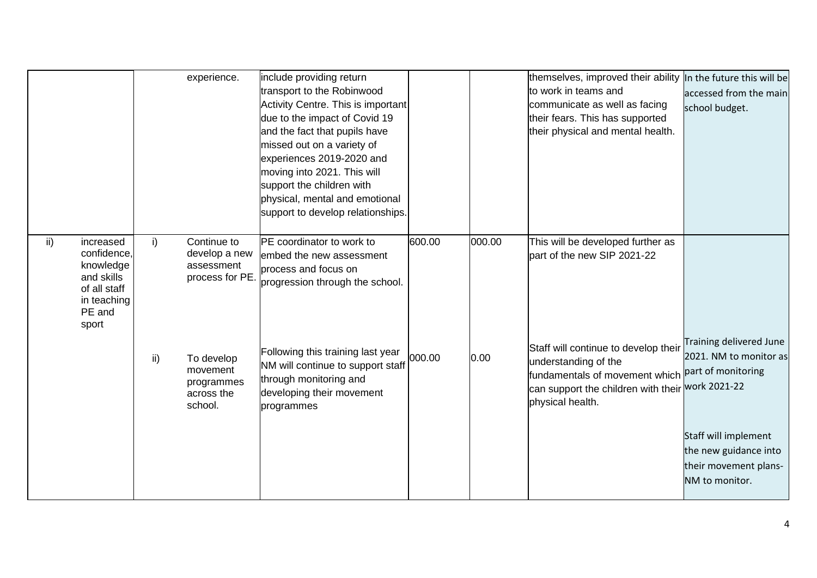|               |                                                                                                       |     | experience.                                                   | include providing return<br>transport to the Robinwood<br>Activity Centre. This is important<br>due to the impact of Covid 19<br>and the fact that pupils have<br>missed out on a variety of<br>experiences 2019-2020 and<br>moving into 2021. This will<br>support the children with<br>physical, mental and emotional<br>support to develop relationships. |        |        | themselves, improved their ability<br>to work in teams and<br>communicate as well as facing<br>their fears. This has supported<br>their physical and mental health.    | In the future this will be<br>accessed from the main<br>school budget.                                                                                              |
|---------------|-------------------------------------------------------------------------------------------------------|-----|---------------------------------------------------------------|--------------------------------------------------------------------------------------------------------------------------------------------------------------------------------------------------------------------------------------------------------------------------------------------------------------------------------------------------------------|--------|--------|------------------------------------------------------------------------------------------------------------------------------------------------------------------------|---------------------------------------------------------------------------------------------------------------------------------------------------------------------|
| $\mathsf{ii}$ | increased<br>confidence,<br>knowledge<br>and skills<br>of all staff<br>in teaching<br>PE and<br>sport | i)  | Continue to<br>develop a new<br>assessment<br>process for PE. | PE coordinator to work to<br>embed the new assessment<br>process and focus on<br>progression through the school.                                                                                                                                                                                                                                             | 600.00 | 000.00 | This will be developed further as<br>part of the new SIP 2021-22                                                                                                       |                                                                                                                                                                     |
|               |                                                                                                       | ii) | To develop<br>movement<br>programmes<br>across the<br>school. | Following this training last year<br>NM will continue to support staff<br>through monitoring and<br>developing their movement<br>programmes                                                                                                                                                                                                                  | 000.00 | 0.00   | Staff will continue to develop their<br>understanding of the<br>fundamentals of movement which<br>can support the children with their work 2021-22<br>physical health. | Training delivered June<br>2021. NM to monitor as<br>part of monitoring<br>Staff will implement<br>the new guidance into<br>their movement plans-<br>NM to monitor. |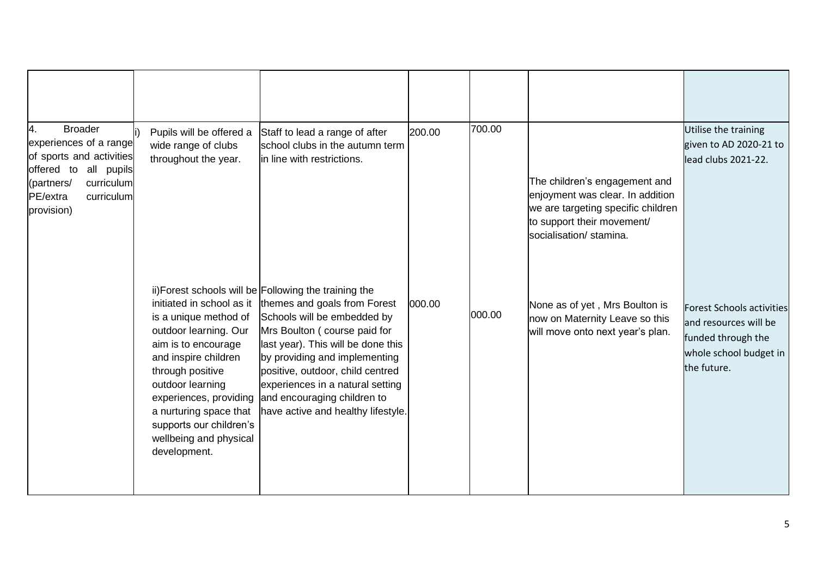| 4.<br><b>Broader</b><br>experiences of a range<br>of sports and activities<br>offered to all pupils<br>curriculum<br>(partners/<br>PE/extra<br>curriculum<br>provision) | Pupils will be offered a<br>wide range of clubs<br>throughout the year.                                                                                                                                                                                                                     | Staff to lead a range of after<br>school clubs in the autumn term<br>in line with restrictions.                                                                                                                                                                                                                                                                          | 200.00 | 700.00 | The children's engagement and<br>enjoyment was clear. In addition<br>we are targeting specific children<br>to support their movement/<br>socialisation/ stamina. | Utilise the training<br>given to AD 2020-21 to<br>lead clubs 2021-22.                                                    |
|-------------------------------------------------------------------------------------------------------------------------------------------------------------------------|---------------------------------------------------------------------------------------------------------------------------------------------------------------------------------------------------------------------------------------------------------------------------------------------|--------------------------------------------------------------------------------------------------------------------------------------------------------------------------------------------------------------------------------------------------------------------------------------------------------------------------------------------------------------------------|--------|--------|------------------------------------------------------------------------------------------------------------------------------------------------------------------|--------------------------------------------------------------------------------------------------------------------------|
|                                                                                                                                                                         | initiated in school as it<br>is a unique method of<br>outdoor learning. Our<br>aim is to encourage<br>and inspire children<br>through positive<br>outdoor learning<br>experiences, providing<br>a nurturing space that<br>supports our children's<br>wellbeing and physical<br>development. | ii) Forest schools will be Following the training the<br>themes and goals from Forest<br>Schools will be embedded by<br>Mrs Boulton (course paid for<br>last year). This will be done this<br>by providing and implementing<br>positive, outdoor, child centred<br>experiences in a natural setting<br>and encouraging children to<br>have active and healthy lifestyle. | 000.00 | 000.00 | None as of yet, Mrs Boulton is<br>now on Maternity Leave so this<br>will move onto next year's plan.                                                             | <b>Forest Schools activities</b><br>and resources will be<br>funded through the<br>whole school budget in<br>the future. |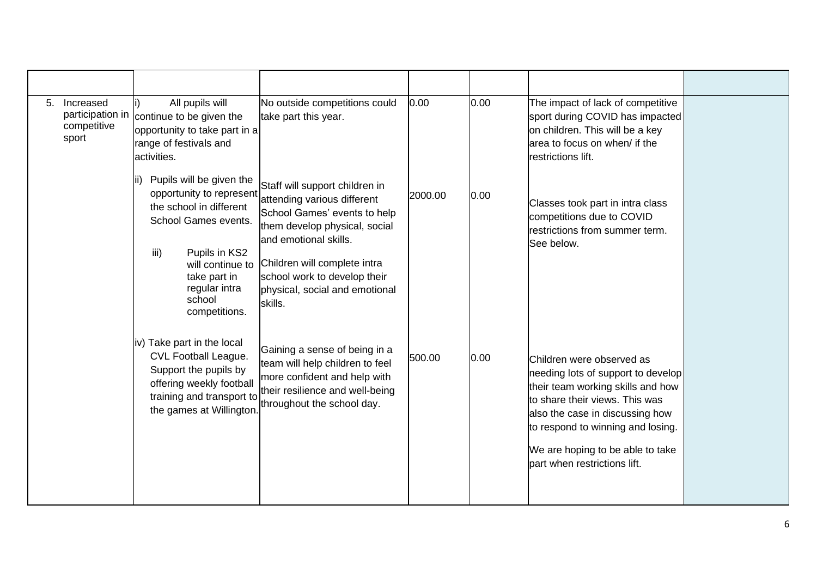| 5. | Increased<br>participation in<br>competitive<br>sport | All pupils will<br>continue to be given the<br>opportunity to take part in a<br>range of festivals and<br>activities.                                                                                            | No outside competitions could<br>take part this year.                                                                                                                                                                                                                | 0.00    | 0.00 | The impact of lack of competitive<br>sport during COVID has impacted<br>on children. This will be a key<br>area to focus on when/ if the<br><b>restrictions</b> lift.                                                                                                              |  |
|----|-------------------------------------------------------|------------------------------------------------------------------------------------------------------------------------------------------------------------------------------------------------------------------|----------------------------------------------------------------------------------------------------------------------------------------------------------------------------------------------------------------------------------------------------------------------|---------|------|------------------------------------------------------------------------------------------------------------------------------------------------------------------------------------------------------------------------------------------------------------------------------------|--|
|    |                                                       | Pupils will be given the<br>opportunity to represent<br>the school in different<br>School Games events.<br>Pupils in KS2<br>iii)<br>will continue to<br>take part in<br>regular intra<br>school<br>competitions. | Staff will support children in<br>attending various different<br>School Games' events to help<br>them develop physical, social<br>and emotional skills.<br>Children will complete intra<br>school work to develop their<br>physical, social and emotional<br>skills. | 2000.00 | 0.00 | Classes took part in intra class<br>competitions due to COVID<br>restrictions from summer term.<br>See below.                                                                                                                                                                      |  |
|    |                                                       | iv) Take part in the local<br>CVL Football League.<br>Support the pupils by<br>offering weekly football<br>training and transport to<br>the games at Willington                                                  | Gaining a sense of being in a<br>team will help children to feel<br>more confident and help with<br>their resilience and well-being<br>throughout the school day.                                                                                                    | 500.00  | 0.00 | Children were observed as<br>needing lots of support to develop<br>their team working skills and how<br>to share their views. This was<br>also the case in discussing how<br>to respond to winning and losing.<br>We are hoping to be able to take<br>part when restrictions lift. |  |